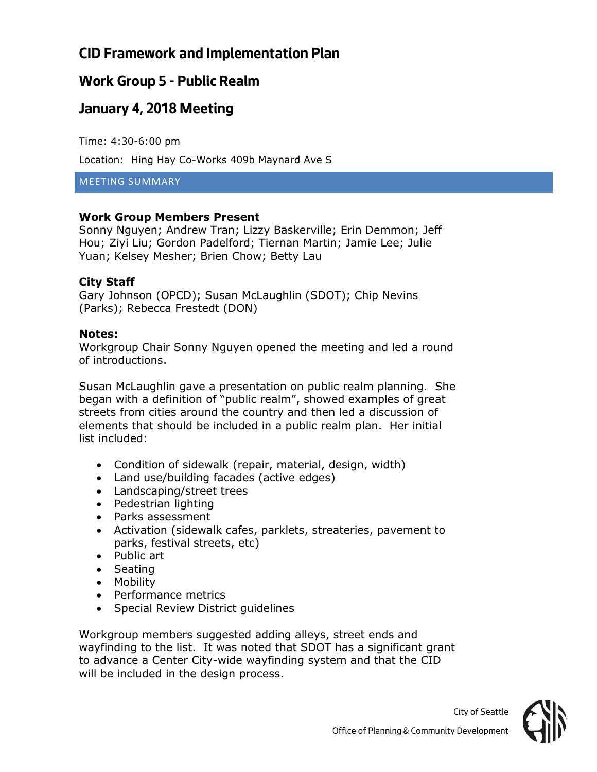# **CID Framework and Implementation Plan**

# **Work Group 5 - Public Realm**

## **January 4, 2018 Meeting**

Time: 4:30-6:00 pm

Location: Hing Hay Co-Works 409b Maynard Ave S

MEETING SUMMARY

### **Work Group Members Present**

Sonny Nguyen; Andrew Tran; Lizzy Baskerville; Erin Demmon; Jeff Hou; Ziyi Liu; Gordon Padelford; Tiernan Martin; Jamie Lee; Julie Yuan; Kelsey Mesher; Brien Chow; Betty Lau

### **City Staff**

Gary Johnson (OPCD); Susan McLaughlin (SDOT); Chip Nevins (Parks); Rebecca Frestedt (DON)

#### **Notes:**

Workgroup Chair Sonny Nguyen opened the meeting and led a round of introductions.

Susan McLaughlin gave a presentation on public realm planning. She began with a definition of "public realm", showed examples of great streets from cities around the country and then led a discussion of elements that should be included in a public realm plan. Her initial list included:

- Condition of sidewalk (repair, material, design, width)
- Land use/building facades (active edges)
- Landscaping/street trees
- Pedestrian lighting
- Parks assessment
- Activation (sidewalk cafes, parklets, streateries, pavement to parks, festival streets, etc)
- Public art
- Seating
- Mobility
- Performance metrics
- Special Review District guidelines

Workgroup members suggested adding alleys, street ends and wayfinding to the list. It was noted that SDOT has a significant grant to advance a Center City-wide wayfinding system and that the CID will be included in the design process.



*City of Seattle*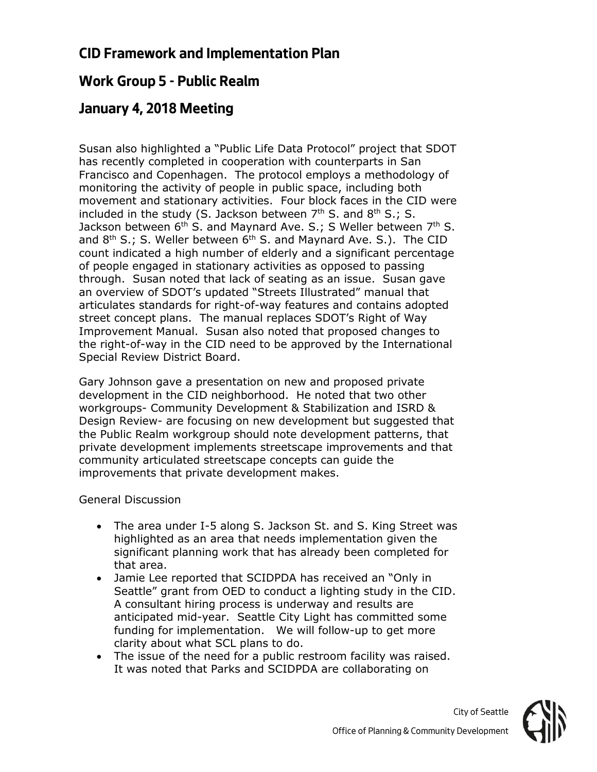## **CID Framework and Implementation Plan**

## **Work Group 5 - Public Realm**

## **January 4, 2018 Meeting**

Susan also highlighted a "Public Life Data Protocol" project that SDOT has recently completed in cooperation with counterparts in San Francisco and Copenhagen. The protocol employs a methodology of monitoring the activity of people in public space, including both movement and stationary activities. Four block faces in the CID were included in the study (S. Jackson between  $7<sup>th</sup>$  S. and  $8<sup>th</sup>$  S.; S. Jackson between  $6^{th}$  S. and Maynard Ave. S.; S Weller between  $7^{th}$  S. and  $8<sup>th</sup>$  S.; S. Weller between  $6<sup>th</sup>$  S. and Maynard Ave. S.). The CID count indicated a high number of elderly and a significant percentage of people engaged in stationary activities as opposed to passing through. Susan noted that lack of seating as an issue. Susan gave an overview of SDOT's updated "Streets Illustrated" manual that articulates standards for right-of-way features and contains adopted street concept plans. The manual replaces SDOT's Right of Way Improvement Manual. Susan also noted that proposed changes to the right-of-way in the CID need to be approved by the International Special Review District Board.

Gary Johnson gave a presentation on new and proposed private development in the CID neighborhood. He noted that two other workgroups- Community Development & Stabilization and ISRD & Design Review- are focusing on new development but suggested that the Public Realm workgroup should note development patterns, that private development implements streetscape improvements and that community articulated streetscape concepts can guide the improvements that private development makes.

#### General Discussion

- The area under I-5 along S. Jackson St. and S. King Street was highlighted as an area that needs implementation given the significant planning work that has already been completed for that area.
- Jamie Lee reported that SCIDPDA has received an "Only in Seattle" grant from OED to conduct a lighting study in the CID. A consultant hiring process is underway and results are anticipated mid-year. Seattle City Light has committed some funding for implementation. We will follow-up to get more clarity about what SCL plans to do.
- The issue of the need for a public restroom facility was raised. It was noted that Parks and SCIDPDA are collaborating on